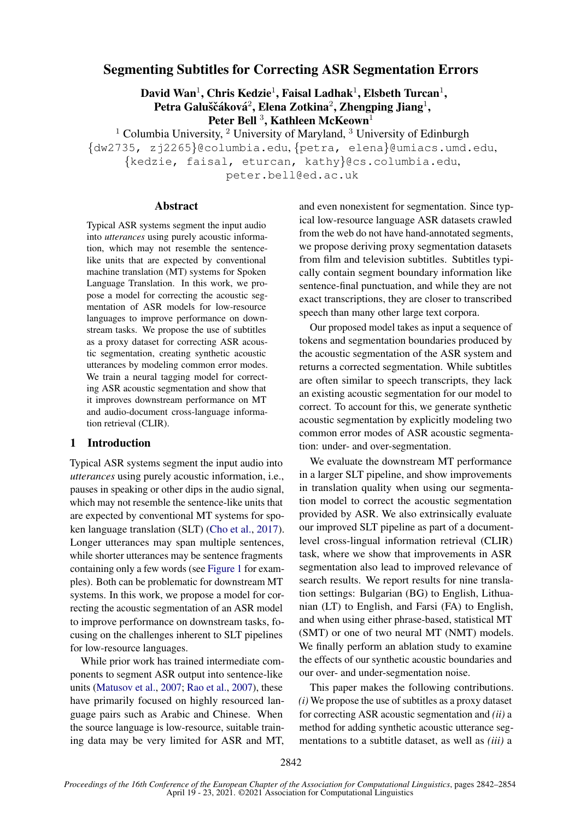# Segmenting Subtitles for Correcting ASR Segmentation Errors

David Wan<sup>1</sup>, Chris Kedzie<sup>1</sup>, Faisal Ladhak<sup>1</sup>, Elsbeth Turcan<sup>1</sup>, Petra Galuščáková $^2$ , Elena Zotkina $^2$ , Zhengping Jiang $^1,$ Peter Bell<sup>3</sup>, Kathleen McKeown<sup>1</sup>

 $1$  Columbia University,  $2$  University of Maryland,  $3$  University of Edinburgh {dw2735, zj2265}@columbia.edu, {petra, elena}@umiacs.umd.edu, {kedzie, faisal, eturcan, kathy}@cs.columbia.edu, peter.bell@ed.ac.uk

Abstract

Typical ASR systems segment the input audio into *utterances* using purely acoustic information, which may not resemble the sentencelike units that are expected by conventional machine translation (MT) systems for Spoken Language Translation. In this work, we propose a model for correcting the acoustic segmentation of ASR models for low-resource languages to improve performance on downstream tasks. We propose the use of subtitles as a proxy dataset for correcting ASR acoustic segmentation, creating synthetic acoustic utterances by modeling common error modes. We train a neural tagging model for correcting ASR acoustic segmentation and show that it improves downstream performance on MT and audio-document cross-language information retrieval (CLIR).

## 1 Introduction

Typical ASR systems segment the input audio into *utterances* using purely acoustic information, i.e., pauses in speaking or other dips in the audio signal, which may not resemble the sentence-like units that are expected by conventional MT systems for spoken language translation (SLT) [\(Cho et al.,](#page-9-0) [2017\)](#page-9-0). Longer utterances may span multiple sentences, while shorter utterances may be sentence fragments containing only a few words (see [Figure 1](#page-1-0) for examples). Both can be problematic for downstream MT systems. In this work, we propose a model for correcting the acoustic segmentation of an ASR model to improve performance on downstream tasks, focusing on the challenges inherent to SLT pipelines for low-resource languages.

While prior work has trained intermediate components to segment ASR output into sentence-like units [\(Matusov et al.,](#page-10-0) [2007;](#page-10-0) [Rao et al.,](#page-10-1) [2007\)](#page-10-1), these have primarily focused on highly resourced language pairs such as Arabic and Chinese. When the source language is low-resource, suitable training data may be very limited for ASR and MT, and even nonexistent for segmentation. Since typical low-resource language ASR datasets crawled from the web do not have hand-annotated segments, we propose deriving proxy segmentation datasets from film and television subtitles. Subtitles typically contain segment boundary information like sentence-final punctuation, and while they are not exact transcriptions, they are closer to transcribed speech than many other large text corpora.

Our proposed model takes as input a sequence of tokens and segmentation boundaries produced by the acoustic segmentation of the ASR system and returns a corrected segmentation. While subtitles are often similar to speech transcripts, they lack an existing acoustic segmentation for our model to correct. To account for this, we generate synthetic acoustic segmentation by explicitly modeling two common error modes of ASR acoustic segmentation: under- and over-segmentation.

We evaluate the downstream MT performance in a larger SLT pipeline, and show improvements in translation quality when using our segmentation model to correct the acoustic segmentation provided by ASR. We also extrinsically evaluate our improved SLT pipeline as part of a documentlevel cross-lingual information retrieval (CLIR) task, where we show that improvements in ASR segmentation also lead to improved relevance of search results. We report results for nine translation settings: Bulgarian (BG) to English, Lithuanian (LT) to English, and Farsi (FA) to English, and when using either phrase-based, statistical MT (SMT) or one of two neural MT (NMT) models. We finally perform an ablation study to examine the effects of our synthetic acoustic boundaries and our over- and under-segmentation noise.

This paper makes the following contributions. *(i)* We propose the use of subtitles as a proxy dataset for correcting ASR acoustic segmentation and *(ii)* a method for adding synthetic acoustic utterance segmentations to a subtitle dataset, as well as *(iii)* a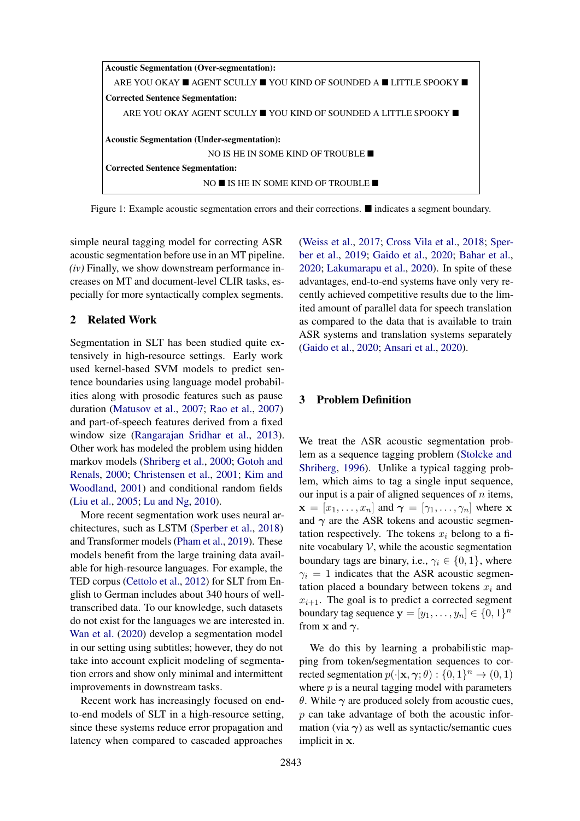<span id="page-1-0"></span>

Figure 1: Example acoustic segmentation errors and their corrections.  $\blacksquare$  indicates a segment boundary.

simple neural tagging model for correcting ASR acoustic segmentation before use in an MT pipeline. *(iv)* Finally, we show downstream performance increases on MT and document-level CLIR tasks, especially for more syntactically complex segments.

#### 2 Related Work

Segmentation in SLT has been studied quite extensively in high-resource settings. Early work used kernel-based SVM models to predict sentence boundaries using language model probabilities along with prosodic features such as pause duration [\(Matusov et al.,](#page-10-0) [2007;](#page-10-0) [Rao et al.,](#page-10-1) [2007\)](#page-10-1) and part-of-speech features derived from a fixed window size [\(Rangarajan Sridhar et al.,](#page-10-2) [2013\)](#page-10-2). Other work has modeled the problem using hidden markov models [\(Shriberg et al.,](#page-10-3) [2000;](#page-10-3) [Gotoh and](#page-9-1) [Renals,](#page-9-1) [2000;](#page-9-1) [Christensen et al.,](#page-9-2) [2001;](#page-9-2) [Kim and](#page-9-3) [Woodland,](#page-9-3) [2001\)](#page-9-3) and conditional random fields [\(Liu et al.,](#page-9-4) [2005;](#page-9-4) [Lu and Ng,](#page-9-5) [2010\)](#page-9-5).

More recent segmentation work uses neural architectures, such as LSTM [\(Sperber et al.,](#page-10-4) [2018\)](#page-10-4) and Transformer models [\(Pham et al.,](#page-10-5) [2019\)](#page-10-5). These models benefit from the large training data available for high-resource languages. For example, the TED corpus [\(Cettolo et al.,](#page-9-6) [2012\)](#page-9-6) for SLT from English to German includes about 340 hours of welltranscribed data. To our knowledge, such datasets do not exist for the languages we are interested in. [Wan et al.](#page-11-0) [\(2020\)](#page-11-0) develop a segmentation model in our setting using subtitles; however, they do not take into account explicit modeling of segmentation errors and show only minimal and intermittent improvements in downstream tasks.

Recent work has increasingly focused on endto-end models of SLT in a high-resource setting, since these systems reduce error propagation and latency when compared to cascaded approaches

[\(Weiss et al.,](#page-11-1) [2017;](#page-11-1) [Cross Vila et al.,](#page-9-7) [2018;](#page-9-7) [Sper](#page-10-6)[ber et al.,](#page-10-6) [2019;](#page-10-6) [Gaido et al.,](#page-9-8) [2020;](#page-9-8) [Bahar et al.,](#page-8-0) [2020;](#page-8-0) [Lakumarapu et al.,](#page-9-9) [2020\)](#page-9-9). In spite of these advantages, end-to-end systems have only very recently achieved competitive results due to the limited amount of parallel data for speech translation as compared to the data that is available to train ASR systems and translation systems separately [\(Gaido et al.,](#page-9-8) [2020;](#page-9-8) [Ansari et al.,](#page-8-1) [2020\)](#page-8-1).

## 3 Problem Definition

We treat the ASR acoustic segmentation problem as a sequence tagging problem [\(Stolcke and](#page-10-7) [Shriberg,](#page-10-7) [1996\)](#page-10-7). Unlike a typical tagging problem, which aims to tag a single input sequence, our input is a pair of aligned sequences of  $n$  items,  $\mathbf{x} = [x_1, \dots, x_n]$  and  $\boldsymbol{\gamma} = [\gamma_1, \dots, \gamma_n]$  where x and  $\gamma$  are the ASR tokens and acoustic segmentation respectively. The tokens  $x_i$  belong to a finite vocabulary  $V$ , while the acoustic segmentation boundary tags are binary, i.e.,  $\gamma_i \in \{0, 1\}$ , where  $\gamma_i = 1$  indicates that the ASR acoustic segmentation placed a boundary between tokens  $x_i$  and  $x_{i+1}$ . The goal is to predict a corrected segment boundary tag sequence  $\mathbf{y} = [y_1, \dots, y_n] \in \{0, 1\}^n$ from x and  $\gamma$ .

We do this by learning a probabilistic mapping from token/segmentation sequences to corrected segmentation  $p(\cdot|\mathbf{x}, \gamma; \theta) : \{0, 1\}^n \to (0, 1)$ where  $p$  is a neural tagging model with parameters θ. While  $\gamma$  are produced solely from acoustic cues,  $p$  can take advantage of both the acoustic information (via  $\gamma$ ) as well as syntactic/semantic cues implicit in x.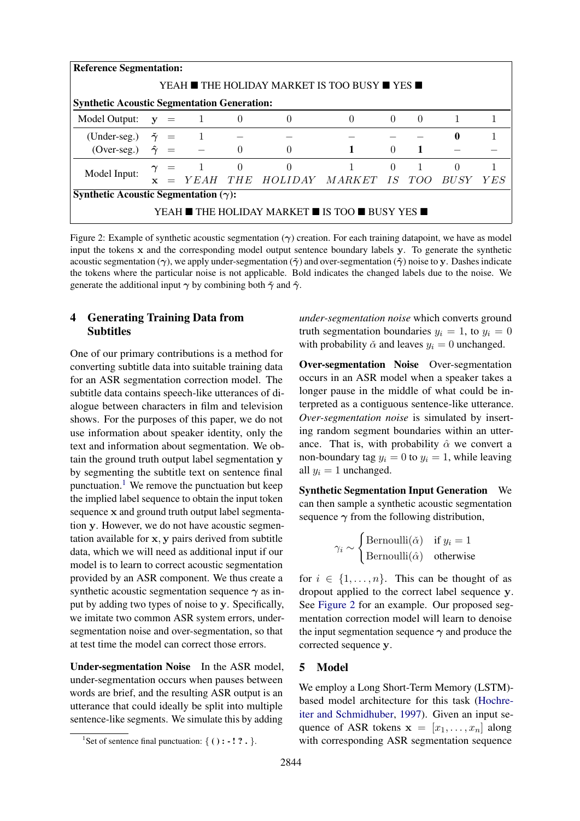<span id="page-2-1"></span>

|                                                    | <b>Reference Segmentation:</b>                |                  |                |          |                                  |          |          |                |                |       |
|----------------------------------------------------|-----------------------------------------------|------------------|----------------|----------|----------------------------------|----------|----------|----------------|----------------|-------|
|                                                    | YEAH ■ THE HOLIDAY MARKET IS TOO BUSY ■ YES ■ |                  |                |          |                                  |          |          |                |                |       |
| <b>Synthetic Acoustic Segmentation Generation:</b> |                                               |                  |                |          |                                  |          |          |                |                |       |
| Model Output: $y = 1$ 0                            |                                               |                  |                |          | $\theta$                         | $\Omega$ | $\theta$ | $\theta$       | $\overline{1}$ |       |
| (Under-seg.) $\tilde{\gamma}$ = 1                  |                                               |                  |                |          |                                  |          |          |                | $\mathbf{0}$   |       |
| $(Over-seg.)$                                      |                                               | $\hat{\gamma}$ = |                | $\theta$ | $\Omega$                         |          | $\Omega$ |                |                |       |
|                                                    |                                               |                  | $\gamma = 1 0$ |          | $\theta$                         |          | $\Omega$ | $\overline{1}$ | $\Omega$       |       |
| Model Input:                                       | $\mathbf{x}$                                  |                  |                |          | = YEAH THE HOLIDAY MARKET IS TOO |          |          |                | <i>BUSY</i>    | Y E S |
| Synthetic Acoustic Segmentation $(\gamma)$ :       |                                               |                  |                |          |                                  |          |          |                |                |       |
| YEAH ■ THE HOLIDAY MARKET ■ IS TOO ■ BUSY YES ■    |                                               |                  |                |          |                                  |          |          |                |                |       |

Figure 2: Example of synthetic acoustic segmentation  $(\gamma)$  creation. For each training datapoint, we have as model input the tokens x and the corresponding model output sentence boundary labels y. To generate the synthetic acoustic segmentation ( $\gamma$ ), we apply under-segmentation ( $\tilde{\gamma}$ ) and over-segmentation ( $\hat{\gamma}$ ) noise to y. Dashes indicate the tokens where the particular noise is not applicable. Bold indicates the changed labels due to the noise. We generate the additional input  $\gamma$  by combining both  $\tilde{\gamma}$  and  $\hat{\gamma}$ .

## 4 Generating Training Data from Subtitles

One of our primary contributions is a method for converting subtitle data into suitable training data for an ASR segmentation correction model. The subtitle data contains speech-like utterances of dialogue between characters in film and television shows. For the purposes of this paper, we do not use information about speaker identity, only the text and information about segmentation. We obtain the ground truth output label segmentation y by segmenting the subtitle text on sentence final punctuation.<sup>[1](#page-2-0)</sup> We remove the punctuation but keep the implied label sequence to obtain the input token sequence x and ground truth output label segmentation y. However, we do not have acoustic segmentation available for x, y pairs derived from subtitle data, which we will need as additional input if our model is to learn to correct acoustic segmentation provided by an ASR component. We thus create a synthetic acoustic segmentation sequence  $\gamma$  as input by adding two types of noise to y. Specifically, we imitate two common ASR system errors, undersegmentation noise and over-segmentation, so that at test time the model can correct those errors.

Under-segmentation Noise In the ASR model, under-segmentation occurs when pauses between words are brief, and the resulting ASR output is an utterance that could ideally be split into multiple sentence-like segments. We simulate this by adding

*under-segmentation noise* which converts ground truth segmentation boundaries  $y_i = 1$ , to  $y_i = 0$ with probability  $\check{\alpha}$  and leaves  $y_i = 0$  unchanged.

Over-segmentation Noise Over-segmentation occurs in an ASR model when a speaker takes a longer pause in the middle of what could be interpreted as a contiguous sentence-like utterance. *Over-segmentation noise* is simulated by inserting random segment boundaries within an utterance. That is, with probability  $\hat{\alpha}$  we convert a non-boundary tag  $y_i = 0$  to  $y_i = 1$ , while leaving all  $y_i = 1$  unchanged.

Synthetic Segmentation Input Generation We can then sample a synthetic acoustic segmentation sequence  $\gamma$  from the following distribution,

$$
\gamma_i \sim \begin{cases} \text{Bernoulli}(\check{\alpha}) & \text{if } y_i = 1 \\ \text{Bernoulli}(\hat{\alpha}) & \text{otherwise} \end{cases}
$$

for  $i \in \{1, \ldots, n\}$ . This can be thought of as dropout applied to the correct label sequence y. See [Figure 2](#page-2-1) for an example. Our proposed segmentation correction model will learn to denoise the input segmentation sequence  $\gamma$  and produce the corrected sequence y.

## 5 Model

We employ a Long Short-Term Memory (LSTM) based model architecture for this task [\(Hochre](#page-9-10)[iter and Schmidhuber,](#page-9-10) [1997\)](#page-9-10). Given an input sequence of ASR tokens  $x = [x_1, \ldots, x_n]$  along with corresponding ASR segmentation sequence

<span id="page-2-0"></span><sup>&</sup>lt;sup>1</sup>Set of sentence final punctuation: { ( ) **:** - **!** ? . }.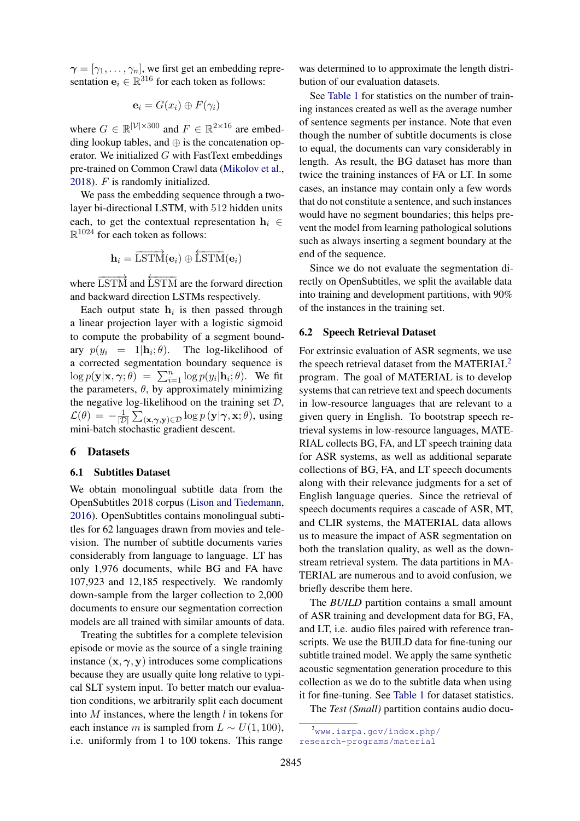$\boldsymbol{\gamma} = [\gamma_1, \dots, \gamma_n]$ , we first get an embedding representation  $\mathbf{e}_i \in \mathbb{R}^{316}$  for each token as follows:

$$
\mathbf{e}_i = G(x_i) \oplus F(\gamma_i)
$$

where  $G \in \mathbb{R}^{|\mathcal{V}| \times 300}$  and  $F \in \mathbb{R}^{2 \times 16}$  are embedding lookup tables, and  $\oplus$  is the concatenation operator. We initialized  $G$  with FastText embeddings pre-trained on Common Crawl data [\(Mikolov et al.,](#page-10-8) [2018\)](#page-10-8). F is randomly initialized.

We pass the embedding sequence through a twolayer bi-directional LSTM, with 512 hidden units each, to get the contextual representation  $h_i \in$  $\mathbb{R}^{1024}$  for each token as follows:

$$
\mathbf{h}_i = \overrightarrow{\text{LSTM}}(\mathbf{e}_i) \oplus \overleftarrow{\text{LSTM}}(\mathbf{e}_i)
$$

where  $\overrightarrow{\text{LSTM}}$  and  $\overleftarrow{\text{LSTM}}$  are the forward direction and backward direction LSTMs respectively.

Each output state  $h_i$  is then passed through a linear projection layer with a logistic sigmoid to compute the probability of a segment boundary  $p(y_i = 1 | \mathbf{h}_i; \theta)$ . The log-likelihood of a corrected segmentation boundary sequence is  $\log p(\mathbf{y}|\mathbf{x}, \gamma; \theta) = \sum_{i=1}^{n} \log p(y_i|\mathbf{h}_i; \theta)$ . We fit the parameters,  $\theta$ , by approximately minimizing the negative log-likelihood on the training set  $D$ ,  $\mathcal{L}(\theta) = -\frac{1}{\pi}$  $\frac{1}{|{\cal D}|}\sum_{(\mathbf{x},\boldsymbol{\gamma},\mathbf{y})\in{\cal D}}\log p\left(\mathbf{y}|\boldsymbol{\gamma},\mathbf{x};\theta\right)$ , using mini-batch stochastic gradient descent.

### 6 Datasets

#### 6.1 Subtitles Dataset

We obtain monolingual subtitle data from the OpenSubtitles 2018 corpus [\(Lison and Tiedemann,](#page-9-11) [2016\)](#page-9-11). OpenSubtitles contains monolingual subtitles for 62 languages drawn from movies and television. The number of subtitle documents varies considerably from language to language. LT has only 1,976 documents, while BG and FA have 107,923 and 12,185 respectively. We randomly down-sample from the larger collection to 2,000 documents to ensure our segmentation correction models are all trained with similar amounts of data.

Treating the subtitles for a complete television episode or movie as the source of a single training instance  $(x, \gamma, y)$  introduces some complications because they are usually quite long relative to typical SLT system input. To better match our evaluation conditions, we arbitrarily split each document into  $M$  instances, where the length  $l$  in tokens for each instance m is sampled from  $L \sim U(1, 100)$ , i.e. uniformly from 1 to 100 tokens. This range

was determined to to approximate the length distribution of our evaluation datasets.

See [Table 1](#page-4-0) for statistics on the number of training instances created as well as the average number of sentence segments per instance. Note that even though the number of subtitle documents is close to equal, the documents can vary considerably in length. As result, the BG dataset has more than twice the training instances of FA or LT. In some cases, an instance may contain only a few words that do not constitute a sentence, and such instances would have no segment boundaries; this helps prevent the model from learning pathological solutions such as always inserting a segment boundary at the end of the sequence.

Since we do not evaluate the segmentation directly on OpenSubtitles, we split the available data into training and development partitions, with 90% of the instances in the training set.

#### 6.2 Speech Retrieval Dataset

For extrinsic evaluation of ASR segments, we use the speech retrieval dataset from the MATERIAL<sup>[2](#page-3-0)</sup> program. The goal of MATERIAL is to develop systems that can retrieve text and speech documents in low-resource languages that are relevant to a given query in English. To bootstrap speech retrieval systems in low-resource languages, MATE-RIAL collects BG, FA, and LT speech training data for ASR systems, as well as additional separate collections of BG, FA, and LT speech documents along with their relevance judgments for a set of English language queries. Since the retrieval of speech documents requires a cascade of ASR, MT, and CLIR systems, the MATERIAL data allows us to measure the impact of ASR segmentation on both the translation quality, as well as the downstream retrieval system. The data partitions in MA-TERIAL are numerous and to avoid confusion, we briefly describe them here.

The *BUILD* partition contains a small amount of ASR training and development data for BG, FA, and LT, i.e. audio files paired with reference transcripts. We use the BUILD data for fine-tuning our subtitle trained model. We apply the same synthetic acoustic segmentation generation procedure to this collection as we do to the subtitle data when using it for fine-tuning. See [Table 1](#page-4-0) for dataset statistics.

The *Test (Small)* partition contains audio docu-

<span id="page-3-0"></span><sup>2</sup>[www.iarpa.gov/index.php/](www.iarpa.gov/index.php/research-programs/material) [research-programs/material](www.iarpa.gov/index.php/research-programs/material)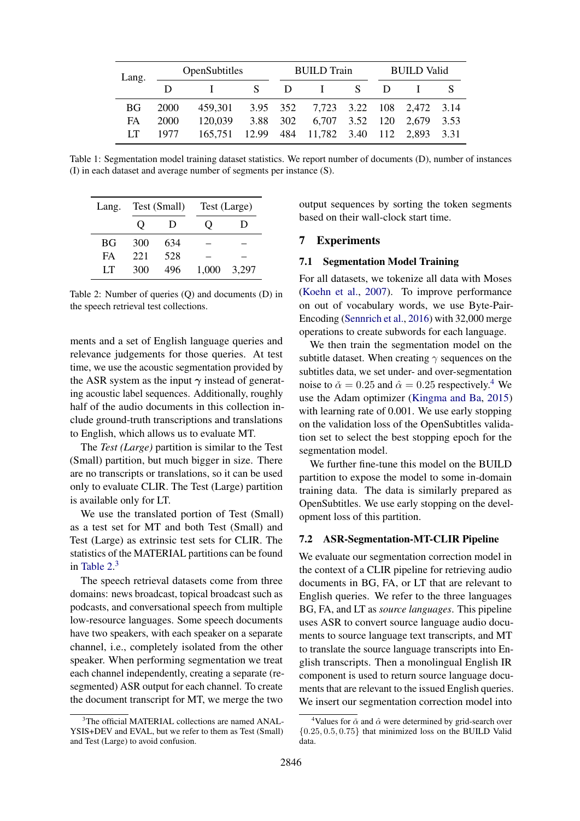<span id="page-4-0"></span>

| Lang. |      | OpenSubtitles                                |              |  | <b>BUILD</b> Train                 |  |        | <b>BUILD Valid</b> |  |  |
|-------|------|----------------------------------------------|--------------|--|------------------------------------|--|--------|--------------------|--|--|
|       |      | $\mathbf{I}$ and $\mathbf{I}$                | $\mathbf{S}$ |  | $D \quad I \quad S$                |  | $\Box$ |                    |  |  |
| BG.   | 2000 | 459,301 3.95 352 7,723 3.22 108 2,472 3.14   |              |  |                                    |  |        |                    |  |  |
| FA.   | 2000 | 120,039                                      |              |  | 3.88 302 6,707 3.52 120 2,679 3.53 |  |        |                    |  |  |
| LT    | 1977 | 165,751 12.99 484 11,782 3.40 112 2,893 3.31 |              |  |                                    |  |        |                    |  |  |

Table 1: Segmentation model training dataset statistics. We report number of documents (D), number of instances (I) in each dataset and average number of segments per instance (S).

<span id="page-4-1"></span>

| Lang. |           | Test (Small) |       | Test (Large) |
|-------|-----------|--------------|-------|--------------|
|       | $\lambda$ | Ð            |       | I)           |
| BG    | 300       | 634          |       |              |
| FA    | 221       | 528          |       |              |
| LТ    | 300       | 496          | 1.000 | 3.297        |

Table 2: Number of queries (Q) and documents (D) in the speech retrieval test collections.

ments and a set of English language queries and relevance judgements for those queries. At test time, we use the acoustic segmentation provided by the ASR system as the input  $\gamma$  instead of generating acoustic label sequences. Additionally, roughly half of the audio documents in this collection include ground-truth transcriptions and translations to English, which allows us to evaluate MT.

The *Test (Large)* partition is similar to the Test (Small) partition, but much bigger in size. There are no transcripts or translations, so it can be used only to evaluate CLIR. The Test (Large) partition is available only for LT.

We use the translated portion of Test (Small) as a test set for MT and both Test (Small) and Test (Large) as extrinsic test sets for CLIR. The statistics of the MATERIAL partitions can be found in Table  $2<sup>3</sup>$  $2<sup>3</sup>$  $2<sup>3</sup>$ 

The speech retrieval datasets come from three domains: news broadcast, topical broadcast such as podcasts, and conversational speech from multiple low-resource languages. Some speech documents have two speakers, with each speaker on a separate channel, i.e., completely isolated from the other speaker. When performing segmentation we treat each channel independently, creating a separate (resegmented) ASR output for each channel. To create the document transcript for MT, we merge the two

<span id="page-4-2"></span><sup>3</sup>The official MATERIAL collections are named ANAL-YSIS+DEV and EVAL, but we refer to them as Test (Small) and Test (Large) to avoid confusion.

output sequences by sorting the token segments based on their wall-clock start time.

## 7 Experiments

## 7.1 Segmentation Model Training

For all datasets, we tokenize all data with Moses [\(Koehn et al.,](#page-9-12) [2007\)](#page-9-12). To improve performance on out of vocabulary words, we use Byte-Pair-Encoding [\(Sennrich et al.,](#page-10-9) [2016\)](#page-10-9) with 32,000 merge operations to create subwords for each language.

We then train the segmentation model on the subtitle dataset. When creating  $\gamma$  sequences on the subtitles data, we set under- and over-segmentation noise to  $\check{\alpha} = 0.25$  and  $\hat{\alpha} = 0.25$  respectively.<sup>[4](#page-4-3)</sup> We use the Adam optimizer [\(Kingma and Ba,](#page-9-13) [2015\)](#page-9-13) with learning rate of 0.001. We use early stopping on the validation loss of the OpenSubtitles validation set to select the best stopping epoch for the segmentation model.

We further fine-tune this model on the BUILD partition to expose the model to some in-domain training data. The data is similarly prepared as OpenSubtitles. We use early stopping on the development loss of this partition.

## 7.2 ASR-Segmentation-MT-CLIR Pipeline

We evaluate our segmentation correction model in the context of a CLIR pipeline for retrieving audio documents in BG, FA, or LT that are relevant to English queries. We refer to the three languages BG, FA, and LT as *source languages*. This pipeline uses ASR to convert source language audio documents to source language text transcripts, and MT to translate the source language transcripts into English transcripts. Then a monolingual English IR component is used to return source language documents that are relevant to the issued English queries. We insert our segmentation correction model into

<span id="page-4-3"></span><sup>&</sup>lt;sup>4</sup>Values for  $\check{\alpha}$  and  $\hat{\alpha}$  were determined by grid-search over  ${0.25, 0.5, 0.75}$  that minimized loss on the BUILD Valid data.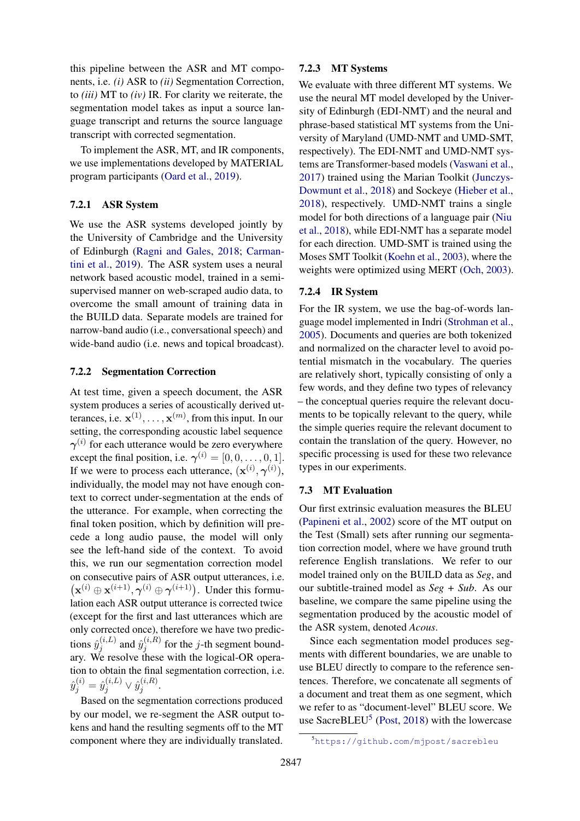this pipeline between the ASR and MT components, i.e. *(i)* ASR to *(ii)* Segmentation Correction, to *(iii)* MT to *(iv)* IR. For clarity we reiterate, the segmentation model takes as input a source language transcript and returns the source language transcript with corrected segmentation.

To implement the ASR, MT, and IR components, we use implementations developed by MATERIAL program participants [\(Oard et al.,](#page-10-10) [2019\)](#page-10-10).

## 7.2.1 ASR System

We use the ASR systems developed jointly by the University of Cambridge and the University of Edinburgh [\(Ragni and Gales,](#page-10-11) [2018;](#page-10-11) [Carman](#page-8-2)[tini et al.,](#page-8-2) [2019\)](#page-8-2). The ASR system uses a neural network based acoustic model, trained in a semisupervised manner on web-scraped audio data, to overcome the small amount of training data in the BUILD data. Separate models are trained for narrow-band audio (i.e., conversational speech) and wide-band audio (i.e. news and topical broadcast).

#### 7.2.2 Segmentation Correction

At test time, given a speech document, the ASR system produces a series of acoustically derived utterances, i.e.  $\mathbf{x}^{(1)}, \dots, \mathbf{x}^{(m)}$ , from this input. In our setting, the corresponding acoustic label sequence  $\gamma^{(i)}$  for each utterance would be zero everywhere except the final position, i.e.  $\gamma^{(i)} = [0, 0, \dots, 0, 1].$ If we were to process each utterance,  $(\mathbf{x}^{(i)}, \boldsymbol{\gamma}^{(i)}),$ individually, the model may not have enough context to correct under-segmentation at the ends of the utterance. For example, when correcting the final token position, which by definition will precede a long audio pause, the model will only see the left-hand side of the context. To avoid this, we run our segmentation correction model on consecutive pairs of ASR output utterances, i.e.  $(\mathbf{x}^{(i)} \oplus \mathbf{x}^{(i+1)}, \boldsymbol{\gamma}^{(i)} \oplus \boldsymbol{\gamma}^{(i+1)})$ . Under this formulation each ASR output utterance is corrected twice (except for the first and last utterances which are only corrected once), therefore we have two predictions  $\hat{y}_i^{(i,L)}$  $\hat{y}_j^{(i,L)}$  and  $\hat{y}_j^{(i,R)}$  $j_j^{(i,n)}$  for the *j*-th segment boundary. We resolve these with the logical-OR operation to obtain the final segmentation correction, i.e.  $\hat{y}_j^{(i)} = \hat{y}_j^{(i,L)} \vee \hat{y}_j^{(i,R)}$  $j^{(i,n)}$ .

Based on the segmentation corrections produced by our model, we re-segment the ASR output tokens and hand the resulting segments off to the MT component where they are individually translated.

## 7.2.3 MT Systems

We evaluate with three different MT systems. We use the neural MT model developed by the University of Edinburgh (EDI-NMT) and the neural and phrase-based statistical MT systems from the University of Maryland (UMD-NMT and UMD-SMT, respectively). The EDI-NMT and UMD-NMT systems are Transformer-based models [\(Vaswani et al.,](#page-11-2) [2017\)](#page-11-2) trained using the Marian Toolkit [\(Junczys-](#page-9-14)[Dowmunt et al.,](#page-9-14) [2018\)](#page-9-14) and Sockeye [\(Hieber et al.,](#page-9-15) [2018\)](#page-9-15), respectively. UMD-NMT trains a single model for both directions of a language pair [\(Niu](#page-10-12) [et al.,](#page-10-12) [2018\)](#page-10-12), while EDI-NMT has a separate model for each direction. UMD-SMT is trained using the Moses SMT Toolkit [\(Koehn et al.,](#page-9-16) [2003\)](#page-9-16), where the weights were optimized using MERT [\(Och,](#page-10-13) [2003\)](#page-10-13).

## 7.2.4 IR System

For the IR system, we use the bag-of-words language model implemented in Indri [\(Strohman et al.,](#page-11-3) [2005\)](#page-11-3). Documents and queries are both tokenized and normalized on the character level to avoid potential mismatch in the vocabulary. The queries are relatively short, typically consisting of only a few words, and they define two types of relevancy – the conceptual queries require the relevant documents to be topically relevant to the query, while the simple queries require the relevant document to contain the translation of the query. However, no specific processing is used for these two relevance types in our experiments.

#### 7.3 MT Evaluation

Our first extrinsic evaluation measures the BLEU [\(Papineni et al.,](#page-10-14) [2002\)](#page-10-14) score of the MT output on the Test (Small) sets after running our segmentation correction model, where we have ground truth reference English translations. We refer to our model trained only on the BUILD data as *Seg*, and our subtitle-trained model as *Seg + Sub*. As our baseline, we compare the same pipeline using the segmentation produced by the acoustic model of the ASR system, denoted *Acous*.

Since each segmentation model produces segments with different boundaries, we are unable to use BLEU directly to compare to the reference sentences. Therefore, we concatenate all segments of a document and treat them as one segment, which we refer to as "document-level" BLEU score. We use SacreBLEU<sup>[5](#page-5-0)</sup> [\(Post,](#page-10-15) [2018\)](#page-10-15) with the lowercase

<span id="page-5-0"></span><sup>5</sup><https://github.com/mjpost/sacrebleu>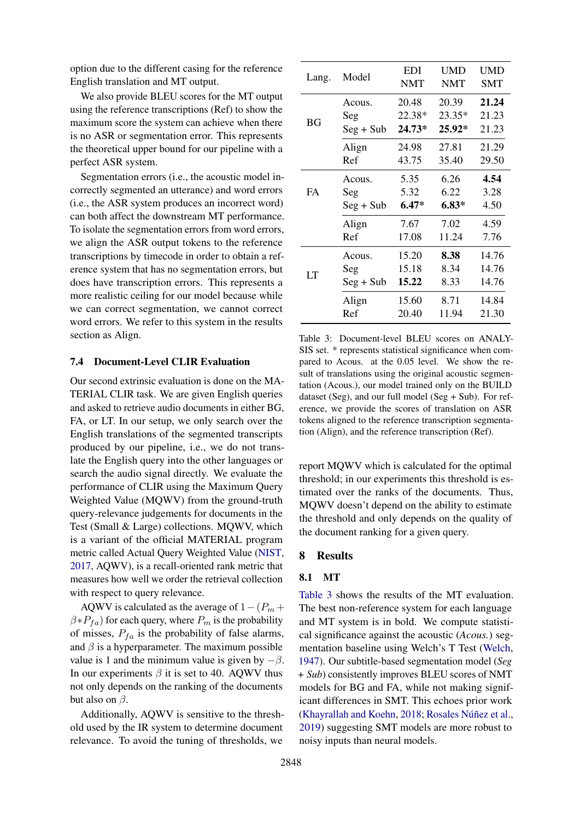option due to the different casing for the reference English translation and MT output.

We also provide BLEU scores for the MT output using the reference transcriptions (Ref) to show the maximum score the system can achieve when there is no ASR or segmentation error. This represents the theoretical upper bound for our pipeline with a perfect ASR system.

Segmentation errors (i.e., the acoustic model incorrectly segmented an utterance) and word errors (i.e., the ASR system produces an incorrect word) can both affect the downstream MT performance. To isolate the segmentation errors from word errors, we align the ASR output tokens to the reference transcriptions by timecode in order to obtain a reference system that has no segmentation errors, but does have transcription errors. This represents a more realistic ceiling for our model because while we can correct segmentation, we cannot correct word errors. We refer to this system in the results section as Align.

### 7.4 Document-Level CLIR Evaluation

Our second extrinsic evaluation is done on the MA-TERIAL CLIR task. We are given English queries and asked to retrieve audio documents in either BG, FA, or LT. In our setup, we only search over the English translations of the segmented transcripts produced by our pipeline, i.e., we do not translate the English query into the other languages or search the audio signal directly. We evaluate the performance of CLIR using the Maximum Query Weighted Value (MQWV) from the ground-truth query-relevance judgements for documents in the Test (Small & Large) collections. MQWV, which is a variant of the official MATERIAL program metric called Actual Query Weighted Value [\(NIST,](#page-10-16) [2017,](#page-10-16) AQWV), is a recall-oriented rank metric that measures how well we order the retrieval collection with respect to query relevance.

AQWV is calculated as the average of  $1-(P_m +$  $\beta * P_{fa}$ ) for each query, where  $P_m$  is the probability of misses,  $P_{fa}$  is the probability of false alarms, and  $\beta$  is a hyperparameter. The maximum possible value is 1 and the minimum value is given by  $-\beta$ . In our experiments  $\beta$  it is set to 40. AQWV thus not only depends on the ranking of the documents but also on  $\beta$ .

Additionally, AQWV is sensitive to the threshold used by the IR system to determine document relevance. To avoid the tuning of thresholds, we

<span id="page-6-0"></span>

| Lang.     | Model       | EDI<br><b>NMT</b> | <b>UMD</b><br><b>NMT</b> | UMD<br>SMT |
|-----------|-------------|-------------------|--------------------------|------------|
|           | Acous.      | 20.48             | 20.39                    | 21.24      |
| BG        | Seg         | 22.38*            | 23.35*                   | 21.23      |
|           | $Seg + Sub$ | $24.73*$          | $25.92*$                 | 21.23      |
|           | Align       | 24.98             | 27.81                    | 21.29      |
|           | Ref         | 43.75             | 35.40                    | 29.50      |
|           | Acous.      | 5.35              | 6.26                     | 4.54       |
| <b>FA</b> | Seg         | 5.32              | 6.22                     | 3.28       |
|           | $Seg + Sub$ | $6.47*$           | $6.83*$                  | 4.50       |
|           | Align       | 7.67              | 7.02                     | 4.59       |
|           | Ref         | 17.08             | 11.24                    | 7.76       |
|           | Acous.      | 15.20             | 8.38                     | 14.76      |
| LT        | Seg         | 15.18             | 8.34                     | 14.76      |
|           | $Seg + Sub$ | 15.22             | 8.33                     | 14.76      |
|           | Align       | 15.60             | 8.71                     | 14.84      |
|           | Ref         | 20.40             | 11.94                    | 21.30      |

Table 3: Document-level BLEU scores on ANALY-SIS set. \* represents statistical significance when compared to Acous. at the 0.05 level. We show the result of translations using the original acoustic segmentation (Acous.), our model trained only on the BUILD dataset (Seg), and our full model (Seg + Sub). For reference, we provide the scores of translation on ASR tokens aligned to the reference transcription segmentation (Align), and the reference transcription (Ref).

report MQWV which is calculated for the optimal threshold; in our experiments this threshold is estimated over the ranks of the documents. Thus, MQWV doesn't depend on the ability to estimate the threshold and only depends on the quality of the document ranking for a given query.

#### 8 Results

## 8.1 MT

[Table 3](#page-6-0) shows the results of the MT evaluation. The best non-reference system for each language and MT system is in bold. We compute statistical significance against the acoustic (*Acous.*) segmentation baseline using Welch's T Test [\(Welch,](#page-11-4) [1947\)](#page-11-4). Our subtitle-based segmentation model (*Seg + Sub*) consistently improves BLEU scores of NMT models for BG and FA, while not making significant differences in SMT. This echoes prior work [\(Khayrallah and Koehn,](#page-9-17) [2018;](#page-9-17) Rosales Núñez et al., [2019\)](#page-10-17) suggesting SMT models are more robust to noisy inputs than neural models.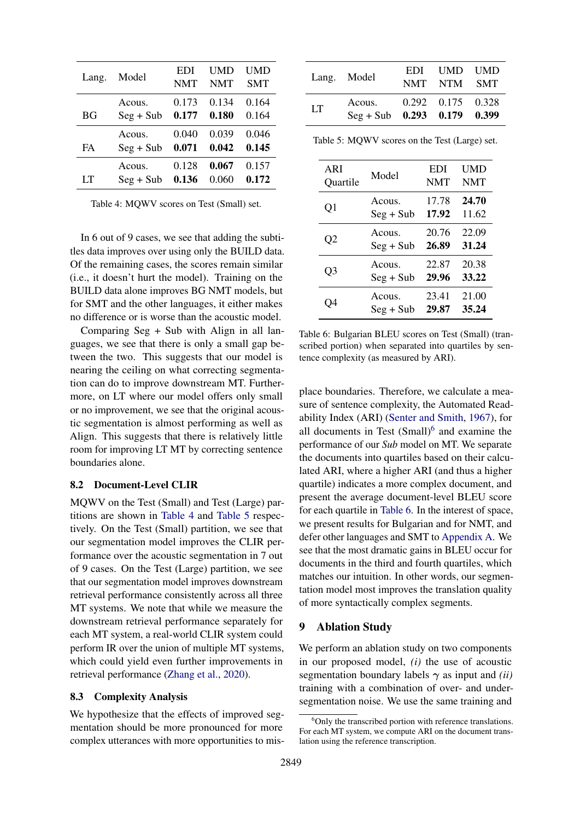<span id="page-7-0"></span>

| Lang. | Model       | <b>EDI</b><br><b>NMT</b> | UMD<br><b>NMT</b> | UMD<br><b>SMT</b> |
|-------|-------------|--------------------------|-------------------|-------------------|
| ВG    | Acous.      | 0.173                    | 0.134             | 0.164             |
|       | $Seg + Sub$ | 0.177                    | 0.180             | 0.164             |
| FA    | Acous.      | 0.040                    | 0.039             | 0.046             |
|       | $Seg + Sub$ | 0.071                    | 0.042             | 0.145             |
| LТ    | Acous.      | 0.128                    | 0.067             | 0.157             |
|       | $Seg + Sub$ | 0.136                    | 0.060             | 0.172             |

Table 4: MQWV scores on Test (Small) set.

In 6 out of 9 cases, we see that adding the subtitles data improves over using only the BUILD data. Of the remaining cases, the scores remain similar (i.e., it doesn't hurt the model). Training on the BUILD data alone improves BG NMT models, but for SMT and the other languages, it either makes no difference or is worse than the acoustic model.

Comparing Seg + Sub with Align in all languages, we see that there is only a small gap between the two. This suggests that our model is nearing the ceiling on what correcting segmentation can do to improve downstream MT. Furthermore, on LT where our model offers only small or no improvement, we see that the original acoustic segmentation is almost performing as well as Align. This suggests that there is relatively little room for improving LT MT by correcting sentence boundaries alone.

## 8.2 Document-Level CLIR

MQWV on the Test (Small) and Test (Large) partitions are shown in [Table 4](#page-7-0) and [Table 5](#page-7-1) respectively. On the Test (Small) partition, we see that our segmentation model improves the CLIR performance over the acoustic segmentation in 7 out of 9 cases. On the Test (Large) partition, we see that our segmentation model improves downstream retrieval performance consistently across all three MT systems. We note that while we measure the downstream retrieval performance separately for each MT system, a real-world CLIR system could perform IR over the union of multiple MT systems, which could yield even further improvements in retrieval performance [\(Zhang et al.,](#page-11-5) [2020\)](#page-11-5).

#### <span id="page-7-4"></span>8.3 Complexity Analysis

We hypothesize that the effects of improved segmentation should be more pronounced for more complex utterances with more opportunities to mis-

<span id="page-7-1"></span>

|    | Lang. Model                                               | EDI UMD UMD<br>NMT NTM SMT |  |
|----|-----------------------------------------------------------|----------------------------|--|
| LT | Acous. 0.292 0.175 0.328<br>$Seg + Sub$ 0.293 0.179 0.399 |                            |  |

Table 5: MQWV scores on the Test (Large) set.

<span id="page-7-3"></span>

| ARI      | Model       | EDI        | UMD        |
|----------|-------------|------------|------------|
| Quartile |             | <b>NMT</b> | <b>NMT</b> |
| Q1       | Acous.      | 17.78      | 24.70      |
|          | $Seg + Sub$ | 17.92      | 11.62      |
| O2       | Acous.      | 20.76      | 22.09      |
|          | $Seg + Sub$ | 26.89      | 31.24      |
| Q3       | Acous.      | 22.87      | 20.38      |
|          | $Seg + Sub$ | 29.96      | 33.22      |
| . )4     | Acous.      | 23.41      | 21.00      |
|          | $Seg + Sub$ | 29.87      | 35.24      |

Table 6: Bulgarian BLEU scores on Test (Small) (transcribed portion) when separated into quartiles by sentence complexity (as measured by ARI).

place boundaries. Therefore, we calculate a measure of sentence complexity, the Automated Readability Index (ARI) [\(Senter and Smith,](#page-10-18) [1967\)](#page-10-18), for all documents in Test  $(Small)$ <sup>[6](#page-7-2)</sup> and examine the performance of our *Sub* model on MT. We separate the documents into quartiles based on their calculated ARI, where a higher ARI (and thus a higher quartile) indicates a more complex document, and present the average document-level BLEU score for each quartile in [Table 6.](#page-7-3) In the interest of space, we present results for Bulgarian and for NMT, and defer other languages and SMT to [Appendix A.](#page-12-0) We see that the most dramatic gains in BLEU occur for documents in the third and fourth quartiles, which matches our intuition. In other words, our segmentation model most improves the translation quality of more syntactically complex segments.

#### 9 Ablation Study

We perform an ablation study on two components in our proposed model, *(i)* the use of acoustic segmentation boundary labels  $\gamma$  as input and *(ii)* training with a combination of over- and undersegmentation noise. We use the same training and

<span id="page-7-2"></span> $6$ Only the transcribed portion with reference translations. For each MT system, we compute ARI on the document translation using the reference transcription.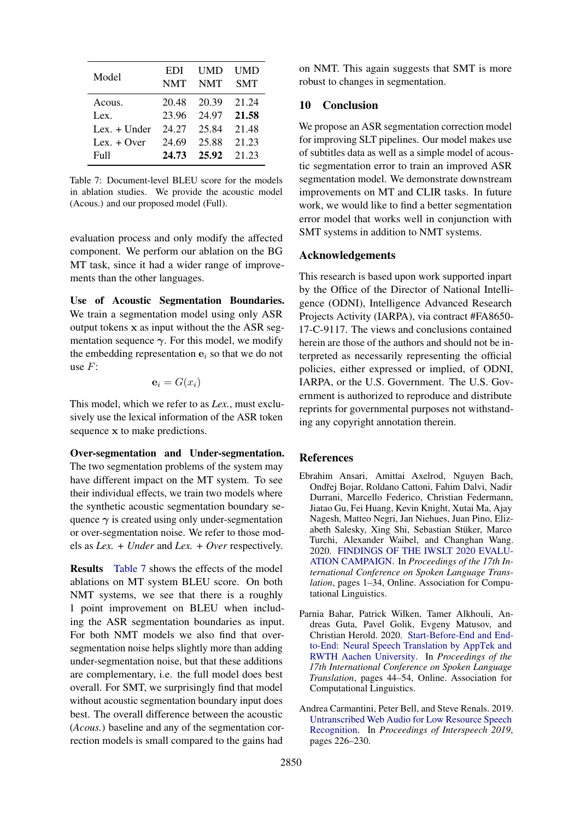<span id="page-8-3"></span>

| Model          | EDI<br><b>NMT</b> | UMD<br><b>NMT</b> | UMD<br><b>SMT</b> |
|----------------|-------------------|-------------------|-------------------|
| Acous.         | 20.48             | 20.39             | 21.24             |
| Lex.           | 23.96             | 24.97             | 21.58             |
| Lex. $+$ Under | 24.27             | 25.84             | 21.48             |
| Lex. $+$ Over  | 24.69             | 25.88             | 21.23             |
| Full           | 24.73             | 25.92             | 21 23             |

Table 7: Document-level BLEU score for the models in ablation studies. We provide the acoustic model (Acous.) and our proposed model (Full).

evaluation process and only modify the affected component. We perform our ablation on the BG MT task, since it had a wider range of improvements than the other languages.

Use of Acoustic Segmentation Boundaries. We train a segmentation model using only ASR output tokens  $x$  as input without the the ASR segmentation sequence  $\gamma$ . For this model, we modify the embedding representation  $e_i$  so that we do not use  $F$ :

$$
\mathbf{e}_i = G(x_i)
$$

This model, which we refer to as *Lex.*, must exclusively use the lexical information of the ASR token sequence x to make predictions.

Over-segmentation and Under-segmentation. The two segmentation problems of the system may have different impact on the MT system. To see their individual effects, we train two models where the synthetic acoustic segmentation boundary sequence  $\gamma$  is created using only under-segmentation or over-segmentation noise. We refer to those models as *Lex. + Under* and *Lex. + Over* respectively.

Results [Table 7](#page-8-3) shows the effects of the model ablations on MT system BLEU score. On both NMT systems, we see that there is a roughly 1 point improvement on BLEU when including the ASR segmentation boundaries as input. For both NMT models we also find that oversegmentation noise helps slightly more than adding under-segmentation noise, but that these additions are complementary, i.e. the full model does best overall. For SMT, we surprisingly find that model without acoustic segmentation boundary input does best. The overall difference between the acoustic (*Acous.*) baseline and any of the segmentation correction models is small compared to the gains had

on NMT. This again suggests that SMT is more robust to changes in segmentation.

## 10 Conclusion

We propose an ASR segmentation correction model for improving SLT pipelines. Our model makes use of subtitles data as well as a simple model of acoustic segmentation error to train an improved ASR segmentation model. We demonstrate downstream improvements on MT and CLIR tasks. In future work, we would like to find a better segmentation error model that works well in conjunction with SMT systems in addition to NMT systems.

## Acknowledgements

This research is based upon work supported inpart by the Office of the Director of National Intelligence (ODNI), Intelligence Advanced Research Projects Activity (IARPA), via contract #FA8650- 17-C-9117. The views and conclusions contained herein are those of the authors and should not be interpreted as necessarily representing the official policies, either expressed or implied, of ODNI, IARPA, or the U.S. Government. The U.S. Government is authorized to reproduce and distribute reprints for governmental purposes not withstanding any copyright annotation therein.

## **References**

- <span id="page-8-1"></span>Ebrahim Ansari, Amittai Axelrod, Nguyen Bach, Ondřej Bojar, Roldano Cattoni, Fahim Dalvi, Nadir Durrani, Marcello Federico, Christian Federmann, Jiatao Gu, Fei Huang, Kevin Knight, Xutai Ma, Ajay Nagesh, Matteo Negri, Jan Niehues, Juan Pino, Elizabeth Salesky, Xing Shi, Sebastian Stuker, Marco ¨ Turchi, Alexander Waibel, and Changhan Wang. 2020. [FINDINGS OF THE IWSLT 2020 EVALU-](https://doi.org/10.18653/v1/2020.iwslt-1.1)[ATION CAMPAIGN.](https://doi.org/10.18653/v1/2020.iwslt-1.1) In *Proceedings of the 17th International Conference on Spoken Language Translation*, pages 1–34, Online. Association for Computational Linguistics.
- <span id="page-8-0"></span>Parnia Bahar, Patrick Wilken, Tamer Alkhouli, Andreas Guta, Pavel Golik, Evgeny Matusov, and Christian Herold. 2020. [Start-Before-End and End](https://doi.org/10.18653/v1/2020.iwslt-1.3)[to-End: Neural Speech Translation by AppTek and](https://doi.org/10.18653/v1/2020.iwslt-1.3) [RWTH Aachen University.](https://doi.org/10.18653/v1/2020.iwslt-1.3) In *Proceedings of the 17th International Conference on Spoken Language Translation*, pages 44–54, Online. Association for Computational Linguistics.
- <span id="page-8-2"></span>Andrea Carmantini, Peter Bell, and Steve Renals. 2019. [Untranscribed Web Audio for Low Resource Speech](https://doi.org/10.21437/Interspeech.2019-2623) [Recognition.](https://doi.org/10.21437/Interspeech.2019-2623) In *Proceedings of Interspeech 2019*, pages 226–230.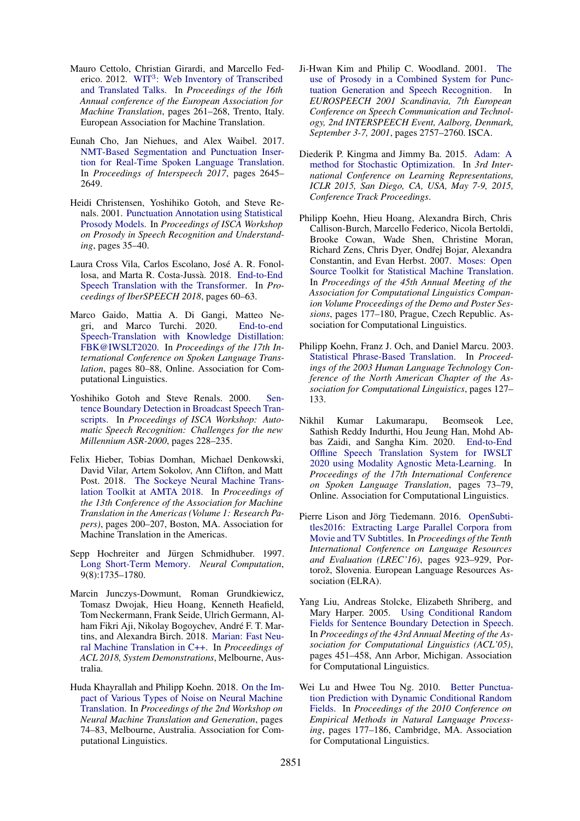- <span id="page-9-6"></span>Mauro Cettolo, Christian Girardi, and Marcello Fed-erico. 2012. WIT<sup>3</sup>[: Web Inventory of Transcribed](https://www.aclweb.org/anthology/2012.eamt-1.60) [and Translated Talks.](https://www.aclweb.org/anthology/2012.eamt-1.60) In *Proceedings of the 16th Annual conference of the European Association for Machine Translation*, pages 261–268, Trento, Italy. European Association for Machine Translation.
- <span id="page-9-0"></span>Eunah Cho, Jan Niehues, and Alex Waibel. 2017. [NMT-Based Segmentation and Punctuation Inser](https://doi.org/10.21437/Interspeech.2017-1320)[tion for Real-Time Spoken Language Translation.](https://doi.org/10.21437/Interspeech.2017-1320) In *Proceedings of Interspeech 2017*, pages 2645– 2649.
- <span id="page-9-2"></span>Heidi Christensen, Yoshihiko Gotoh, and Steve Renals. 2001. [Punctuation Annotation using Statistical](https://www.isca-speech.org/archive_open/archive_papers/prosody_2001/prsr_006.pdf) [Prosody Models.](https://www.isca-speech.org/archive_open/archive_papers/prosody_2001/prsr_006.pdf) In *Proceedings of ISCA Workshop on Prosody in Speech Recognition and Understanding*, pages 35–40.
- <span id="page-9-7"></span>Laura Cross Vila, Carlos Escolano, Jose A. R. Fonol- ´ losa, and Marta R. Costa-Jussà. 2018. [End-to-End](https://doi.org/10.21437/IberSPEECH.2018-13) [Speech Translation with the Transformer.](https://doi.org/10.21437/IberSPEECH.2018-13) In *Proceedings of IberSPEECH 2018*, pages 60–63.
- <span id="page-9-8"></span>Marco Gaido, Mattia A. Di Gangi, Matteo Negri, and Marco Turchi. 2020. [End-to-end](https://doi.org/10.18653/v1/2020.iwslt-1.8) [Speech-Translation with Knowledge Distillation:](https://doi.org/10.18653/v1/2020.iwslt-1.8) [FBK@IWSLT2020.](https://doi.org/10.18653/v1/2020.iwslt-1.8) In *Proceedings of the 17th International Conference on Spoken Language Translation*, pages 80–88, Online. Association for Computational Linguistics.
- <span id="page-9-1"></span>Yoshihiko Gotoh and Steve Renals. 2000. [Sen](https://isca-speech.org/archive_open/archive_papers/asr2000/asr0_228.pdf)[tence Boundary Detection in Broadcast Speech Tran](https://isca-speech.org/archive_open/archive_papers/asr2000/asr0_228.pdf)[scripts.](https://isca-speech.org/archive_open/archive_papers/asr2000/asr0_228.pdf) In *Proceedings of ISCA Workshop: Automatic Speech Recognition: Challenges for the new Millennium ASR-2000*, pages 228–235.
- <span id="page-9-15"></span>Felix Hieber, Tobias Domhan, Michael Denkowski, David Vilar, Artem Sokolov, Ann Clifton, and Matt Post. 2018. [The Sockeye Neural Machine Trans](https://www.aclweb.org/anthology/W18-1820)[lation Toolkit at AMTA 2018.](https://www.aclweb.org/anthology/W18-1820) In *Proceedings of the 13th Conference of the Association for Machine Translation in the Americas (Volume 1: Research Papers)*, pages 200–207, Boston, MA. Association for Machine Translation in the Americas.
- <span id="page-9-10"></span>Sepp Hochreiter and Jürgen Schmidhuber. 1997. [Long Short-Term Memory.](https://doi.org/10.1162/neco.1997.9.8.1735) *Neural Computation*, 9(8):1735–1780.
- <span id="page-9-14"></span>Marcin Junczys-Dowmunt, Roman Grundkiewicz, Tomasz Dwojak, Hieu Hoang, Kenneth Heafield, Tom Neckermann, Frank Seide, Ulrich Germann, Alham Fikri Aji, Nikolay Bogoychev, André F. T. Martins, and Alexandra Birch. 2018. [Marian: Fast Neu](https://arxiv.org/abs/1804.00344)[ral Machine Translation in C++.](https://arxiv.org/abs/1804.00344) In *Proceedings of ACL 2018, System Demonstrations*, Melbourne, Australia.
- <span id="page-9-17"></span>Huda Khayrallah and Philipp Koehn. 2018. [On the Im](https://doi.org/10.18653/v1/W18-2709)[pact of Various Types of Noise on Neural Machine](https://doi.org/10.18653/v1/W18-2709) [Translation.](https://doi.org/10.18653/v1/W18-2709) In *Proceedings of the 2nd Workshop on Neural Machine Translation and Generation*, pages 74–83, Melbourne, Australia. Association for Computational Linguistics.
- <span id="page-9-3"></span>Ji-Hwan Kim and Philip C. Woodland. 2001. [The](http://www.isca-speech.org/archive/eurospeech_2001/e01_2757.html) [use of Prosody in a Combined System for Punc](http://www.isca-speech.org/archive/eurospeech_2001/e01_2757.html)[tuation Generation and Speech Recognition.](http://www.isca-speech.org/archive/eurospeech_2001/e01_2757.html) In *EUROSPEECH 2001 Scandinavia, 7th European Conference on Speech Communication and Technology, 2nd INTERSPEECH Event, Aalborg, Denmark, September 3-7, 2001*, pages 2757–2760. ISCA.
- <span id="page-9-13"></span>Diederik P. Kingma and Jimmy Ba. 2015. [Adam: A](http://arxiv.org/abs/1412.6980) [method for Stochastic Optimization.](http://arxiv.org/abs/1412.6980) In *3rd International Conference on Learning Representations, ICLR 2015, San Diego, CA, USA, May 7-9, 2015, Conference Track Proceedings*.
- <span id="page-9-12"></span>Philipp Koehn, Hieu Hoang, Alexandra Birch, Chris Callison-Burch, Marcello Federico, Nicola Bertoldi, Brooke Cowan, Wade Shen, Christine Moran, Richard Zens, Chris Dyer, Ondřej Bojar, Alexandra Constantin, and Evan Herbst. 2007. [Moses: Open](https://www.aclweb.org/anthology/P07-2045) [Source Toolkit for Statistical Machine Translation.](https://www.aclweb.org/anthology/P07-2045) In *Proceedings of the 45th Annual Meeting of the Association for Computational Linguistics Companion Volume Proceedings of the Demo and Poster Sessions*, pages 177–180, Prague, Czech Republic. Association for Computational Linguistics.
- <span id="page-9-16"></span>Philipp Koehn, Franz J. Och, and Daniel Marcu. 2003. [Statistical Phrase-Based Translation.](https://www.aclweb.org/anthology/N03-1017) In *Proceedings of the 2003 Human Language Technology Conference of the North American Chapter of the Association for Computational Linguistics*, pages 127– 133.
- <span id="page-9-9"></span>Nikhil Kumar Lakumarapu, Beomseok Lee, Sathish Reddy Indurthi, Hou Jeung Han, Mohd Abbas Zaidi, and Sangha Kim. 2020. [End-to-End](https://doi.org/10.18653/v1/2020.iwslt-1.7) [Offline Speech Translation System for IWSLT](https://doi.org/10.18653/v1/2020.iwslt-1.7) [2020 using Modality Agnostic Meta-Learning.](https://doi.org/10.18653/v1/2020.iwslt-1.7) In *Proceedings of the 17th International Conference on Spoken Language Translation*, pages 73–79, Online. Association for Computational Linguistics.
- <span id="page-9-11"></span>Pierre Lison and Jörg Tiedemann. 2016. [OpenSubti](https://www.aclweb.org/anthology/L16-1147)[tles2016: Extracting Large Parallel Corpora from](https://www.aclweb.org/anthology/L16-1147) [Movie and TV Subtitles.](https://www.aclweb.org/anthology/L16-1147) In *Proceedings of the Tenth International Conference on Language Resources and Evaluation (LREC'16)*, pages 923–929, Portorož, Slovenia. European Language Resources Association (ELRA).
- <span id="page-9-4"></span>Yang Liu, Andreas Stolcke, Elizabeth Shriberg, and Mary Harper. 2005. [Using Conditional Random](https://doi.org/10.3115/1219840.1219896) [Fields for Sentence Boundary Detection in Speech.](https://doi.org/10.3115/1219840.1219896) In *Proceedings of the 43rd Annual Meeting of the Association for Computational Linguistics (ACL'05)*, pages 451–458, Ann Arbor, Michigan. Association for Computational Linguistics.
- <span id="page-9-5"></span>Wei Lu and Hwee Tou Ng. 2010. [Better Punctua](https://www.aclweb.org/anthology/D10-1018)[tion Prediction with Dynamic Conditional Random](https://www.aclweb.org/anthology/D10-1018) [Fields.](https://www.aclweb.org/anthology/D10-1018) In *Proceedings of the 2010 Conference on Empirical Methods in Natural Language Processing*, pages 177–186, Cambridge, MA. Association for Computational Linguistics.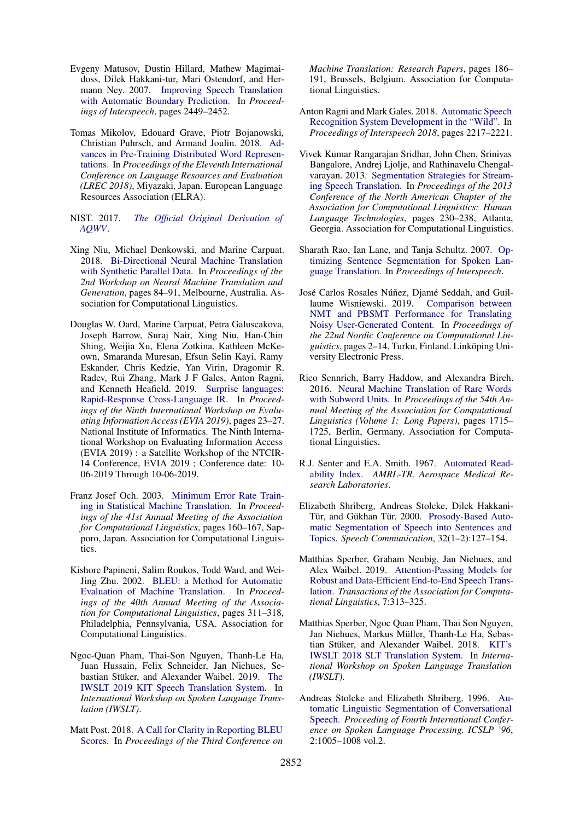- <span id="page-10-0"></span>Evgeny Matusov, Dustin Hillard, Mathew Magimaidoss, Dilek Hakkani-tur, Mari Ostendorf, and Hermann Ney. 2007. [Improving Speech Translation](https://isca-speech.org/archive/archive_papers/interspeech_2007/i07_2449.pdf) [with Automatic Boundary Prediction.](https://isca-speech.org/archive/archive_papers/interspeech_2007/i07_2449.pdf) In *Proceedings of Interspeech*, pages 2449–2452.
- <span id="page-10-8"></span>Tomas Mikolov, Edouard Grave, Piotr Bojanowski, Christian Puhrsch, and Armand Joulin. 2018. [Ad](https://www.aclweb.org/anthology/L18-1008)[vances in Pre-Training Distributed Word Represen](https://www.aclweb.org/anthology/L18-1008)[tations.](https://www.aclweb.org/anthology/L18-1008) In *Proceedings of the Eleventh International Conference on Language Resources and Evaluation (LREC 2018)*, Miyazaki, Japan. European Language Resources Association (ELRA).
- <span id="page-10-16"></span>NIST. 2017. *[The Official Original Derivation of](https://www.nist.gov/system/files/documents/2017/10/26/aqwv_derivation.pdf) [AQWV](https://www.nist.gov/system/files/documents/2017/10/26/aqwv_derivation.pdf)*.
- <span id="page-10-12"></span>Xing Niu, Michael Denkowski, and Marine Carpuat. 2018. [Bi-Directional Neural Machine Translation](https://doi.org/10.18653/v1/W18-2710) [with Synthetic Parallel Data.](https://doi.org/10.18653/v1/W18-2710) In *Proceedings of the 2nd Workshop on Neural Machine Translation and Generation*, pages 84–91, Melbourne, Australia. Association for Computational Linguistics.
- <span id="page-10-10"></span>Douglas W. Oard, Marine Carpuat, Petra Galuscakova, Joseph Barrow, Suraj Nair, Xing Niu, Han-Chin Shing, Weijia Xu, Elena Zotkina, Kathleen McKeown, Smaranda Muresan, Efsun Selin Kayi, Ramy Eskander, Chris Kedzie, Yan Virin, Dragomir R. Radev, Rui Zhang, Mark J F Gales, Anton Ragni, and Kenneth Heafield. 2019. [Surprise languages:](https://terpconnect.umd.edu/~oard/pdf/evia19.pdf) [Rapid-Response Cross-Language IR.](https://terpconnect.umd.edu/~oard/pdf/evia19.pdf) In *Proceedings of the Ninth International Workshop on Evaluating Information Access (EVIA 2019)*, pages 23–27. National Institute of Informatics. The Ninth International Workshop on Evaluating Information Access (EVIA 2019) : a Satellite Workshop of the NTCIR-14 Conference, EVIA 2019 ; Conference date: 10- 06-2019 Through 10-06-2019.
- <span id="page-10-13"></span>Franz Josef Och. 2003. [Minimum Error Rate Train](https://doi.org/10.3115/1075096.1075117)[ing in Statistical Machine Translation.](https://doi.org/10.3115/1075096.1075117) In *Proceedings of the 41st Annual Meeting of the Association for Computational Linguistics*, pages 160–167, Sapporo, Japan. Association for Computational Linguistics.
- <span id="page-10-14"></span>Kishore Papineni, Salim Roukos, Todd Ward, and Wei-Jing Zhu. 2002. [BLEU: a Method for Automatic](https://doi.org/10.3115/1073083.1073135) [Evaluation of Machine Translation.](https://doi.org/10.3115/1073083.1073135) In *Proceedings of the 40th Annual Meeting of the Association for Computational Linguistics*, pages 311–318, Philadelphia, Pennsylvania, USA. Association for Computational Linguistics.
- <span id="page-10-5"></span>Ngoc-Quan Pham, Thai-Son Nguyen, Thanh-Le Ha, Juan Hussain, Felix Schneider, Jan Niehues, Se-bastian Stüker, and Alexander Waibel. 2019. [The](http://isl.anthropomatik.kit.edu/pdf/Pham2019b.pdf) [IWSLT 2019 KIT Speech Translation System.](http://isl.anthropomatik.kit.edu/pdf/Pham2019b.pdf) In *International Workshop on Spoken Language Translation (IWSLT)*.
- <span id="page-10-15"></span>Matt Post. 2018. [A Call for Clarity in Reporting BLEU](https://doi.org/10.18653/v1/W18-6319) [Scores.](https://doi.org/10.18653/v1/W18-6319) In *Proceedings of the Third Conference on*

*Machine Translation: Research Papers*, pages 186– 191, Brussels, Belgium. Association for Computational Linguistics.

- <span id="page-10-11"></span>Anton Ragni and Mark Gales. 2018. [Automatic Speech](https://doi.org/10.21437/Interspeech.2018-1085) [Recognition System Development in the "Wild".](https://doi.org/10.21437/Interspeech.2018-1085) In *Proceedings of Interspeech 2018*, pages 2217–2221.
- <span id="page-10-2"></span>Vivek Kumar Rangarajan Sridhar, John Chen, Srinivas Bangalore, Andrej Ljolje, and Rathinavelu Chengalvarayan. 2013. [Segmentation Strategies for Stream](https://www.aclweb.org/anthology/N13-1023)[ing Speech Translation.](https://www.aclweb.org/anthology/N13-1023) In *Proceedings of the 2013 Conference of the North American Chapter of the Association for Computational Linguistics: Human Language Technologies*, pages 230–238, Atlanta, Georgia. Association for Computational Linguistics.
- <span id="page-10-1"></span>Sharath Rao, Ian Lane, and Tanja Schultz. 2007. [Op](https://www.csl.uni-bremen.de/cms/images/documents/publications/RaoSchultz_Interspeech2007.pdf)[timizing Sentence Segmentation for Spoken Lan](https://www.csl.uni-bremen.de/cms/images/documents/publications/RaoSchultz_Interspeech2007.pdf)[guage Translation.](https://www.csl.uni-bremen.de/cms/images/documents/publications/RaoSchultz_Interspeech2007.pdf) In *Proceedings of Interspeech*.
- <span id="page-10-17"></span>José Carlos Rosales Núñez, Djamé Seddah, and Guillaume Wisniewski. 2019. [Comparison between](https://www.aclweb.org/anthology/W19-6101) [NMT and PBSMT Performance for Translating](https://www.aclweb.org/anthology/W19-6101) [Noisy User-Generated Content.](https://www.aclweb.org/anthology/W19-6101) In *Proceedings of the 22nd Nordic Conference on Computational Linguistics*, pages 2–14, Turku, Finland. Linköping University Electronic Press.
- <span id="page-10-9"></span>Rico Sennrich, Barry Haddow, and Alexandra Birch. 2016. [Neural Machine Translation of Rare Words](https://doi.org/10.18653/v1/P16-1162) [with Subword Units.](https://doi.org/10.18653/v1/P16-1162) In *Proceedings of the 54th Annual Meeting of the Association for Computational Linguistics (Volume 1: Long Papers)*, pages 1715– 1725, Berlin, Germany. Association for Computational Linguistics.
- <span id="page-10-18"></span>R.J. Senter and E.A. Smith. 1967. [Automated Read](https://apps.dtic.mil/dtic/tr/fulltext/u2/667273.pdf)[ability Index.](https://apps.dtic.mil/dtic/tr/fulltext/u2/667273.pdf) *AMRL-TR. Aerospace Medical Research Laboratories*.
- <span id="page-10-3"></span>Elizabeth Shriberg, Andreas Stolcke, Dilek Hakkani-Tür, and Gükhan Tür. 2000. [Prosody-Based Auto](https://doi.org/10.1016/S0167-6393(00)00028-5)[matic Segmentation of Speech into Sentences and](https://doi.org/10.1016/S0167-6393(00)00028-5) [Topics.](https://doi.org/10.1016/S0167-6393(00)00028-5) *Speech Communication*, 32(1–2):127–154.
- <span id="page-10-6"></span>Matthias Sperber, Graham Neubig, Jan Niehues, and Alex Waibel. 2019. [Attention-Passing Models for](https://doi.org/10.1162/tacl_a_00270) [Robust and Data-Efficient End-to-End Speech Trans](https://doi.org/10.1162/tacl_a_00270)[lation.](https://doi.org/10.1162/tacl_a_00270) *Transactions of the Association for Computational Linguistics*, 7:313–325.
- <span id="page-10-4"></span>Matthias Sperber, Ngoc Quan Pham, Thai Son Nguyen, Jan Niehues, Markus Müller, Thanh-Le Ha, Sebas-tian Stüker, and Alexander Waibel. 2018. [KIT's](https://isl.anthropomatik.kit.edu/downloads/Sperber2018a.pdf) [IWSLT 2018 SLT Translation System.](https://isl.anthropomatik.kit.edu/downloads/Sperber2018a.pdf) In *International Workshop on Spoken Language Translation (IWSLT)*.
- <span id="page-10-7"></span>Andreas Stolcke and Elizabeth Shriberg. 1996. [Au](http://www.asel.udel.edu/icslp/cdrom/vol2/715/a715.pdf)[tomatic Linguistic Segmentation of Conversational](http://www.asel.udel.edu/icslp/cdrom/vol2/715/a715.pdf) [Speech.](http://www.asel.udel.edu/icslp/cdrom/vol2/715/a715.pdf) *Proceeding of Fourth International Conference on Spoken Language Processing. ICSLP '96*, 2:1005–1008 vol.2.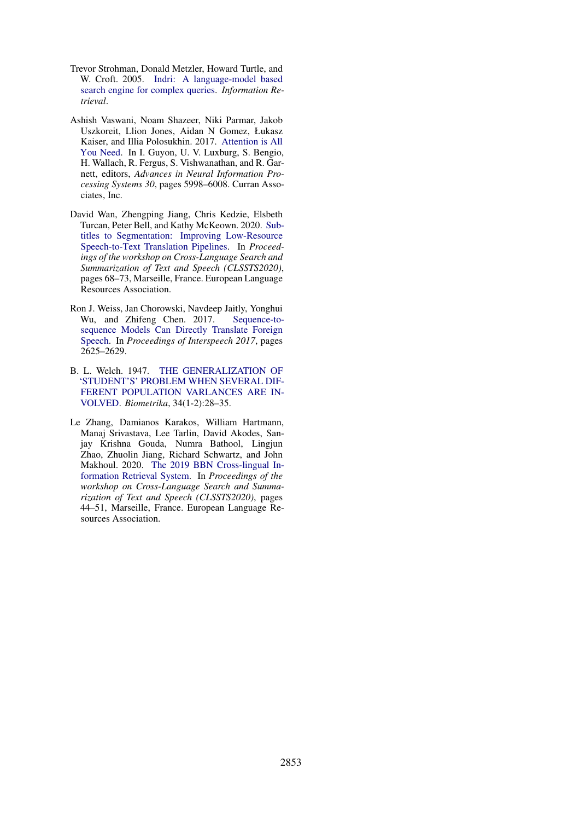- <span id="page-11-3"></span>Trevor Strohman, Donald Metzler, Howard Turtle, and W. Croft. 2005. [Indri: A language-model based](http://ciir.cs.umass.edu/pubfiles/ir-407.pdf) [search engine for complex queries.](http://ciir.cs.umass.edu/pubfiles/ir-407.pdf) *Information Retrieval*.
- <span id="page-11-2"></span>Ashish Vaswani, Noam Shazeer, Niki Parmar, Jakob Uszkoreit, Llion Jones, Aidan N Gomez, Łukasz Kaiser, and Illia Polosukhin. 2017. [Attention is All](http://papers.nips.cc/paper/7181-attention-is-all-you-need.pdf) [You Need.](http://papers.nips.cc/paper/7181-attention-is-all-you-need.pdf) In I. Guyon, U. V. Luxburg, S. Bengio, H. Wallach, R. Fergus, S. Vishwanathan, and R. Garnett, editors, *Advances in Neural Information Processing Systems 30*, pages 5998–6008. Curran Associates, Inc.
- <span id="page-11-0"></span>David Wan, Zhengping Jiang, Chris Kedzie, Elsbeth Turcan, Peter Bell, and Kathy McKeown. 2020. [Sub](https://www.aclweb.org/anthology/2020.clssts-1.11)[titles to Segmentation: Improving Low-Resource](https://www.aclweb.org/anthology/2020.clssts-1.11) [Speech-to-Text Translation Pipelines.](https://www.aclweb.org/anthology/2020.clssts-1.11) In *Proceedings of the workshop on Cross-Language Search and Summarization of Text and Speech (CLSSTS2020)*, pages 68–73, Marseille, France. European Language Resources Association.
- <span id="page-11-1"></span>Ron J. Weiss, Jan Chorowski, Navdeep Jaitly, Yonghui Wu, and Zhifeng Chen. 2017. [Sequence-to](https://doi.org/10.21437/Interspeech.2017-503)[sequence Models Can Directly Translate Foreign](https://doi.org/10.21437/Interspeech.2017-503) [Speech.](https://doi.org/10.21437/Interspeech.2017-503) In *Proceedings of Interspeech 2017*, pages 2625–2629.
- <span id="page-11-4"></span>B. L. Welch. 1947. [THE GENERALIZATION OF](https://doi.org/10.1093/biomet/34.1-2.28) ['STUDENT'S' PROBLEM WHEN SEVERAL DIF-](https://doi.org/10.1093/biomet/34.1-2.28)[FERENT POPULATION VARLANCES ARE IN-](https://doi.org/10.1093/biomet/34.1-2.28)[VOLVED.](https://doi.org/10.1093/biomet/34.1-2.28) *Biometrika*, 34(1-2):28–35.
- <span id="page-11-5"></span>Le Zhang, Damianos Karakos, William Hartmann, Manaj Srivastava, Lee Tarlin, David Akodes, Sanjay Krishna Gouda, Numra Bathool, Lingjun Zhao, Zhuolin Jiang, Richard Schwartz, and John Makhoul. 2020. [The 2019 BBN Cross-lingual In](https://www.aclweb.org/anthology/2020.clssts-1.8)[formation Retrieval System.](https://www.aclweb.org/anthology/2020.clssts-1.8) In *Proceedings of the workshop on Cross-Language Search and Summarization of Text and Speech (CLSSTS2020)*, pages 44–51, Marseille, France. European Language Resources Association.